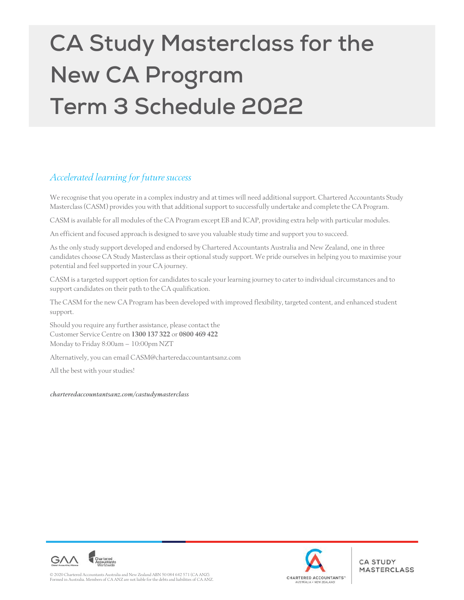# **CA Study Masterclass for the New CA Program Term 3 Schedule 2022**

# Accelerated learning for future success

We recognise that you operate in a complex industry and at times will need additional support. Chartered Accountants Study Masterclass (CASM) provides you with that additional support to successfully undertake and complete the CA Program.

CASM is available for all modules of the CA Program except EB and ICAP, providing extra help with particular modules.

An efficient and focused approach is designed to save you valuable study time and support you to succeed.

As the only study support developed and endorsed by Chartered Accountants Australia and New Zealand, one in three candidates choose CA Study Masterclass as their optional study support. We pride ourselves in helping you to maximise your potential and feel supported in your CA journey.

CASM is a targeted support option for candidates to scale your learning journey to cater to individual circumstances and to support candidates on their path to the CA qualification.

The CASM for the new CA Program has been developed with improved flexibility, targeted content, and enhanced student support.

Should you require any further assistance, please contact the Customer Service Centre on 1300 137 322 or 0800 469 422 Monday to Friday 8:00am – 10:00pm NZT

Alternatively, you can email CASM@charteredaccountantsanz.com

All the best with your studies!

charteredaccountantsanz.com/castudymasterclass



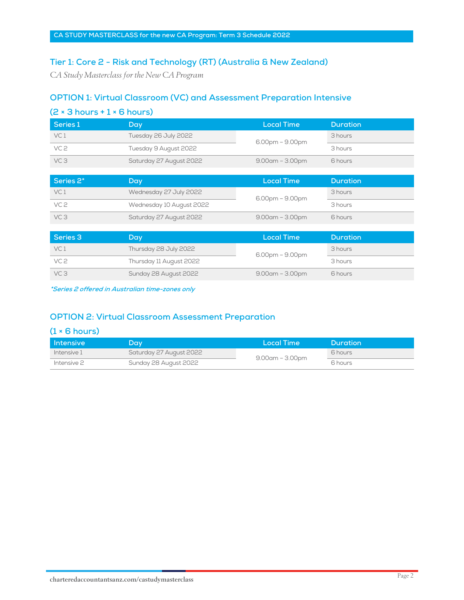## **Tier 1: Core 2 - Risk and Technology (RT) (Australia & New Zealand)**

CA Study Masterclass for the New CA Program

# **OPTION 1: Virtual Classroom (VC) and Assessment Preparation Intensive**

| $(2 \times 3$ hours + 1 $\times$ 6 hours) |                          |                       |                 |  |  |
|-------------------------------------------|--------------------------|-----------------------|-----------------|--|--|
| Series 1                                  | Day                      | <b>Local Time</b>     | <b>Duration</b> |  |  |
| VC <sub>1</sub>                           | Tuesday 26 July 2022     | $6.00$ pm – $9.00$ pm | 3 hours         |  |  |
| VC <sub>2</sub>                           | Tuesday 9 August 2022    |                       | 3 hours         |  |  |
| VC <sub>3</sub>                           | Saturday 27 August 2022  | $9.00$ am – $3.00$ pm | 6 hours         |  |  |
|                                           |                          |                       |                 |  |  |
| Series <sub>2</sub> *                     | Day                      | <b>Local Time</b>     | <b>Duration</b> |  |  |
| VC <sub>1</sub>                           | Wednesday 27 July 2022   | $6.00$ pm – $9.00$ pm | 3 hours         |  |  |
| VC <sub>2</sub>                           | Wednesday 10 August 2022 |                       | 3 hours         |  |  |
| VC <sub>3</sub>                           | Saturday 27 August 2022  | $9.00$ am – $3.00$ pm | 6 hours         |  |  |
|                                           |                          |                       |                 |  |  |
| Series 3                                  | Day                      | <b>Local Time</b>     | <b>Duration</b> |  |  |
| VC <sub>1</sub>                           | Thursday 28 July 2022    | 6.00pm - 9.00pm       | 3 hours         |  |  |
| VC <sub>2</sub>                           | Thursday 11 August 2022  |                       | 3 hours         |  |  |
| VC <sub>3</sub>                           | Sunday 28 August 2022    | $9.00$ am – $3.00$ pm | 6 hours         |  |  |

**\*Series 2 offered in Australian time-zones only** 

### **OPTION 2: Virtual Classroom Assessment Preparation**

#### **(1 × 6 hours)**

| l Intensive | Dav.                    | Local Time            | Duration |
|-------------|-------------------------|-----------------------|----------|
| Intensive 1 | Saturday 27 August 2022 | $9.00$ am – $3.00$ pm | 6 hours  |
| Intensive 2 | Sunday 28 August 2022   |                       | 6 hours  |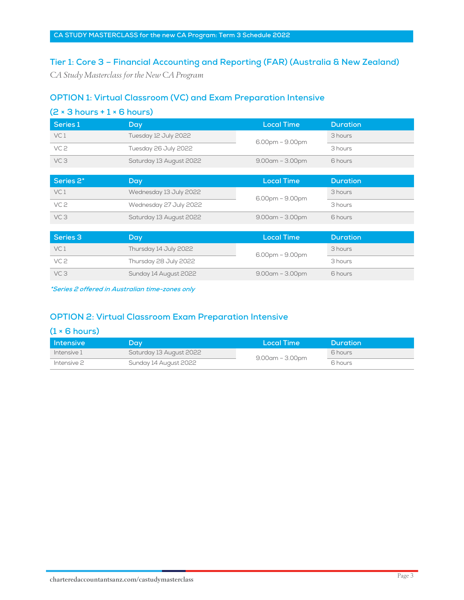### **Tier 1: Core 3 – Financial Accounting and Reporting (FAR) (Australia & New Zealand)**

CA Study Masterclass for the New CA Program

### **OPTION 1: Virtual Classroom (VC) and Exam Preparation Intensive**

| Series 1        | Day                     | <b>Local Time</b>     | <b>Duration</b> |
|-----------------|-------------------------|-----------------------|-----------------|
| VC <sub>1</sub> | Tuesday 12 July 2022    | $6.00$ pm – $9.00$ pm | 3 hours         |
| VC <sub>2</sub> | Tuesday 26 July 2022    |                       | 3 hours         |
| VC <sub>3</sub> | Saturday 13 August 2022 | $9.00$ am – $3.00$ pm | 6 hours         |
|                 |                         |                       |                 |
| Series 2*       | Day                     | <b>Local Time</b>     | <b>Duration</b> |
| VC <sub>1</sub> | Wednesday 13 July 2022  | $6.00$ pm – $9.00$ pm | 3 hours         |
| VC <sub>2</sub> | Wednesday 27 July 2022  |                       | 3 hours         |
| VC <sub>3</sub> | Saturday 13 August 2022 | $9.00$ am – $3.00$ pm | 6 hours         |
|                 |                         |                       |                 |
| Series 3        | Day                     | <b>Local Time</b>     | <b>Duration</b> |
| VC <sub>1</sub> | Thursday 14 July 2022   | $6.00$ pm – $9.00$ pm | 3 hours         |
| VC <sub>2</sub> | Thursday 28 July 2022   |                       | 3 hours         |
| VC <sub>3</sub> | Sunday 14 August 2022   | $9.00$ am – $3.00$ pm | 6 hours         |

**\*Series 2 offered in Australian time-zones only** 

## **OPTION 2: Virtual Classroom Exam Preparation Intensive**

#### **(1 × 6 hours)**

| <b>Intensive</b> | Day.                    | Local Time            | <b>Duration</b> |
|------------------|-------------------------|-----------------------|-----------------|
| Intensive 1      | Saturday 13 August 2022 | $9.00$ am – $3.00$ pm | 6 hours         |
| Intensive 2      | Sunday 14 August 2022   |                       | 6 hours         |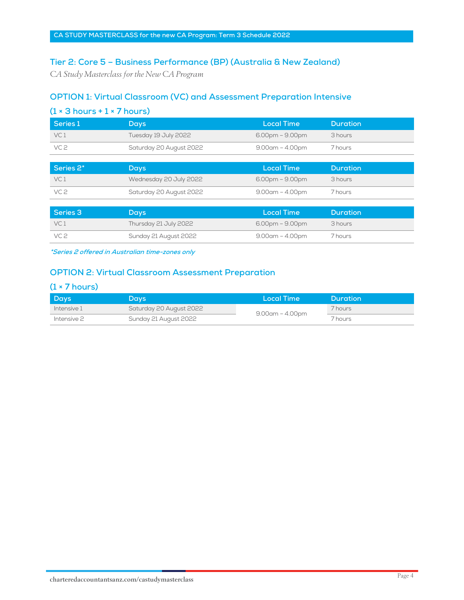# **Tier 2: Core 5 – Business Performance (BP) (Australia & New Zealand)**

CA Study Masterclass for the New CA Program

# **OPTION 1: Virtual Classroom (VC) and Assessment Preparation Intensive**

| $(1 \times 3$ hours + $1 \times 7$ hours) |                         |                       |                 |  |  |
|-------------------------------------------|-------------------------|-----------------------|-----------------|--|--|
| Series 1                                  | <b>Days</b>             | <b>Local Time</b>     | <b>Duration</b> |  |  |
| VC <sub>1</sub>                           | Tuesday 19 July 2022    | $6.00$ pm – $9.00$ pm | 3 hours         |  |  |
| VC <sub>2</sub>                           | Saturday 20 August 2022 | $9.00$ am – $4.00$ pm | 7 hours         |  |  |
|                                           |                         |                       |                 |  |  |
| Series 2*                                 | <b>Days</b>             | <b>Local Time</b>     | <b>Duration</b> |  |  |
| VC <sub>1</sub>                           | Wednesday 20 July 2022  | $6.00$ pm – $9.00$ pm | 3 hours         |  |  |
| VC <sub>2</sub>                           | Saturday 20 August 2022 | $9.00$ am – $4.00$ pm | 7 hours         |  |  |
|                                           |                         |                       |                 |  |  |

| Series 3        | Days,                 | Local Time            | Duration           |
|-----------------|-----------------------|-----------------------|--------------------|
| VC <sub>1</sub> | Thursday 21 July 2022 | $6.00$ pm – $9.00$ pm | 3 hours            |
| VC 2            | Sunday 21 August 2022 | 9.00am – 4.00pm       | <sup>7</sup> hours |

**\*Series 2 offered in Australian time-zones only** 

## **OPTION 2: Virtual Classroom Assessment Preparation**

#### **(1 × 7 hours)**

| Days        | Days                    | <b>Local Time</b>     | <b>Duration</b> |
|-------------|-------------------------|-----------------------|-----------------|
| Intensive 1 | Saturday 20 August 2022 | $9.00$ am – $4.00$ pm | 7 hours         |
| Intensive 2 | Sunday 21 August 2022   |                       | 7 hours         |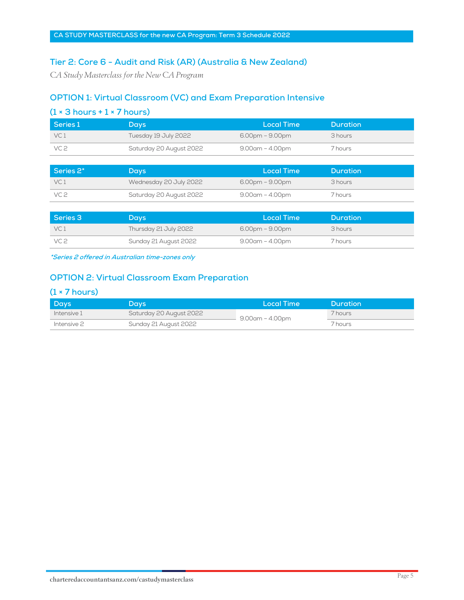## **Tier 2: Core 6 - Audit and Risk (AR) (Australia & New Zealand)**

CA Study Masterclass for the New CA Program

## **OPTION 1: Virtual Classroom (VC) and Exam Preparation Intensive**

| $(1 \times 3$ hours + $1 \times 7$ hours) |                         |                       |                 |  |  |
|-------------------------------------------|-------------------------|-----------------------|-----------------|--|--|
| Series 1                                  | <b>Days</b>             | <b>Local Time</b>     | <b>Duration</b> |  |  |
| VC <sub>1</sub>                           | Tuesday 19 July 2022    | $6.00$ pm – $9.00$ pm | 3 hours         |  |  |
| VC <sub>2</sub>                           | Saturday 20 August 2022 | $9.00$ am – $4.00$ pm | 7 hours         |  |  |
|                                           |                         |                       |                 |  |  |
| Series 2*                                 | <b>Days</b>             | <b>Local Time</b>     | <b>Duration</b> |  |  |
| VC <sub>1</sub>                           | Wednesday 20 July 2022  | $6.00$ pm – $9.00$ pm | 3 hours         |  |  |
| VC <sub>2</sub>                           | Saturday 20 August 2022 | $9.00$ am – $4.00$ pm | 7 hours         |  |  |

| Series 3        | 'Days ,               | Local Time            | Duration |
|-----------------|-----------------------|-----------------------|----------|
| VC <sub>1</sub> | Thursday 21 July 2022 | $6.00$ pm – $9.00$ pm | 3 hours  |
| VC 2            | Sunday 21 August 2022 | $9.00$ am – $4.00$ pm | 7 hours  |

**\*Series 2 offered in Australian time-zones only** 

#### **OPTION 2: Virtual Classroom Exam Preparation**

#### **(1 × 7 hours)**

| Days        | Days                    | Local Time            | Duration |
|-------------|-------------------------|-----------------------|----------|
| Intensive 1 | Saturday 20 August 2022 | $9.00$ am – $4.00$ pm | 7 hours  |
| Intensive 2 | Sunday 21 August 2022   |                       | 7 hours  |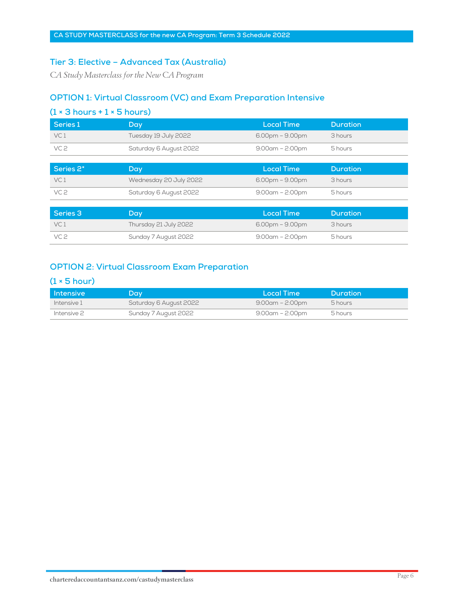## **Tier 3: Elective – Advanced Tax (Australia)**

CA Study Masterclass for the New CA Program

#### **OPTION 1: Virtual Classroom (VC) and Exam Preparation Intensive**

| Series 1        | Day                    | <b>Local Time</b>     | <b>Duration</b> |
|-----------------|------------------------|-----------------------|-----------------|
| VC <sub>1</sub> | Tuesday 19 July 2022   | $6.00$ pm – $9.00$ pm | 3 hours         |
| VC <sub>2</sub> | Saturday 6 August 2022 | $9:00$ am – 2:00pm    | 5 hours         |
|                 |                        |                       |                 |
| Series 2*       | Day                    | <b>Local Time</b>     | <b>Duration</b> |
| VC <sub>1</sub> | Wednesday 20 July 2022 | $6.00$ pm – $9.00$ pm | 3 hours         |
|                 |                        |                       |                 |
| VC <sub>2</sub> | Saturday 6 August 2022 | $9:00$ am – 2:00pm    | 5 hours         |
|                 |                        |                       |                 |

| Series 3 | Day/                  | Local Time        | <b>Duration</b> |
|----------|-----------------------|-------------------|-----------------|
| VC 1     | Thursday 21 July 2022 | $6.00pm - 9.00pm$ | 3 hours         |
| VC 2     | Sunday 7 August 2022  | 9:00am – 2:00pm   | 5 hours         |

# **OPTION 2: Virtual Classroom Exam Preparation**

# **(1 × 5 hour)**

| l Intensive | Day.                   | Local Time             | <b>Duration</b> |
|-------------|------------------------|------------------------|-----------------|
| Intensive 1 | Saturday 6 August 2022 | $9:00$ am – 2 $:00$ pm | 5 hours         |
| Intensive 2 | Sunday 7 August 2022   | 9:00am – 2:00pm        | 5 hours         |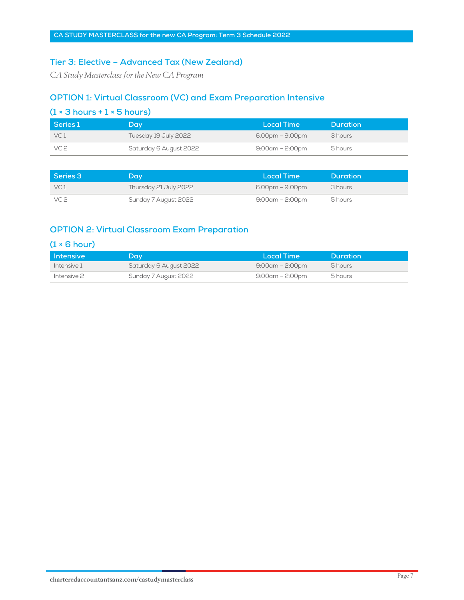#### **Tier 3: Elective – Advanced Tax (New Zealand)**

CA Study Masterclass for the New CA Program

#### **OPTION 1: Virtual Classroom (VC) and Exam Preparation Intensive**

| $(1 \times 3$ hours + $1 \times 5$ hours)                           |                      |                       |                 |  |  |
|---------------------------------------------------------------------|----------------------|-----------------------|-----------------|--|--|
| Series 1                                                            | Dav                  | Local Time            | <b>Duration</b> |  |  |
| VC 1                                                                | Tuesday 19 July 2022 | $6.00$ pm – $9.00$ pm | 3 hours         |  |  |
| VC 2<br>Saturday 6 August 2022<br>$9:00$ am – 2 $:00$ pm<br>5 hours |                      |                       |                 |  |  |

| Series 3        | Dav                   | Local Time             | <b>Duration</b> |
|-----------------|-----------------------|------------------------|-----------------|
| VC <sub>1</sub> | Thursday 21 July 2022 | $6.00$ pm – $9.00$ pm  | 3 hours         |
| VC 2            | Sunday 7 August 2022  | $9:00$ am – 2 $:00$ pm | 5 hours         |

#### **OPTION 2: Virtual Classroom Exam Preparation**

#### **(1 × 6 hour)**

| l Intensive | Dav.                   | Local Time             | <b>Duration</b> |
|-------------|------------------------|------------------------|-----------------|
| Intensive 1 | Saturday 6 August 2022 | $9:00$ am – 2 $:00$ pm | 5 hours         |
| Intensive 2 | Sunday 7 August 2022   | 9:00am – 2:00pm        | 5 hours         |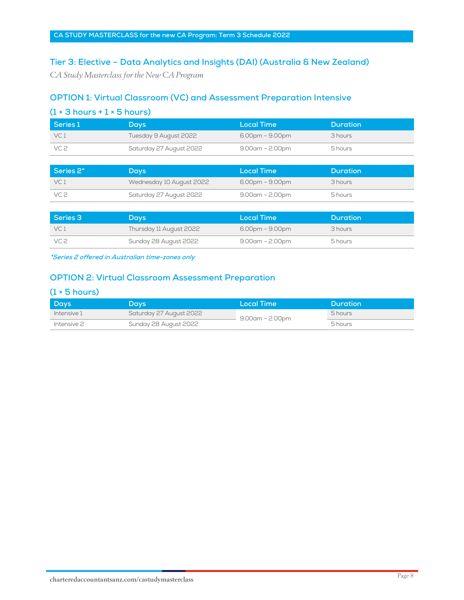## **Tier 3: Elective – Data Analytics and Insights (DAI) (Australia & New Zealand)**

CA Study Masterclass for the New CA Program

## **OPTION 1: Virtual Classroom (VC) and Assessment Preparation Intensive**

| $(1 \times 3$ hours + $1 \times 5$ hours) |                          |                       |                 |  |
|-------------------------------------------|--------------------------|-----------------------|-----------------|--|
| Series 1                                  | <b>Days</b>              | <b>Local Time</b>     | <b>Duration</b> |  |
| VC <sub>1</sub>                           | Tuesday 9 August 2022    | $6.00$ pm – $9.00$ pm | 3 hours         |  |
| VC <sub>2</sub>                           | Saturday 27 August 2022  | $9.00$ am – 2.00pm    | 5 hours         |  |
|                                           |                          |                       |                 |  |
| Series 2*                                 | <b>Days</b>              | <b>Local Time</b>     | <b>Duration</b> |  |
| VC <sub>1</sub>                           | Wednesday 10 August 2022 | $6.00$ pm – $9.00$ pm | 3 hours         |  |
| VC <sub>2</sub>                           | Saturday 27 August 2022  | $9.00$ am – 2.00pm    | 5 hours         |  |

| Series 3        | Days                    | Local Time            | Duration |
|-----------------|-------------------------|-----------------------|----------|
| VC <sub>1</sub> | Thursday 11 August 2022 | $6.00$ pm – $9.00$ pm | 3 hours  |
| VC 2            | Sunday 28 August 2022   | $9.00$ am – 2.00pm    | 5 hours  |

**\*Series 2 offered in Australian time-zones only** 

#### **OPTION 2: Virtual Classroom Assessment Preparation**

#### **(1 × 5 hours)**

| Days        | Days                    | Local Time         | Duration |
|-------------|-------------------------|--------------------|----------|
| Intensive 1 | Saturday 27 August 2022 | $9.00$ am – 2.00pm | 5 hours  |
| Intensive 2 | Sunday 28 August 2022   |                    | 5 hours  |